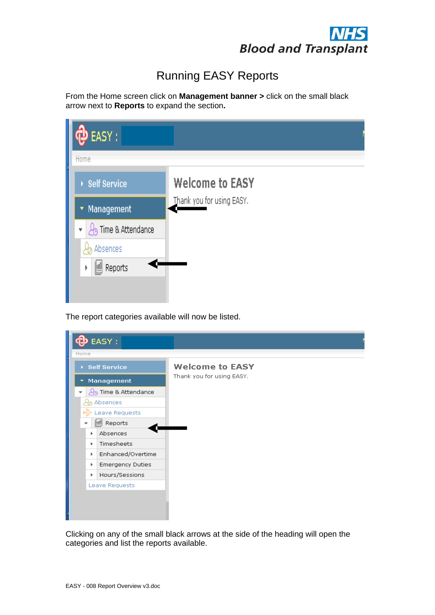

## Running EASY Reports

| EASY:                                        |                           |
|----------------------------------------------|---------------------------|
| Home                                         |                           |
| ▶ Self Service                               | <b>Welcome to EASY</b>    |
| Management<br>Y                              | Thank you for using EASY. |
| Time & Attendance<br>$\overline{\mathbf{v}}$ |                           |
| Absences                                     |                           |
| Reports<br>þ<br>$\mathbb{I}$                 |                           |
|                                              |                           |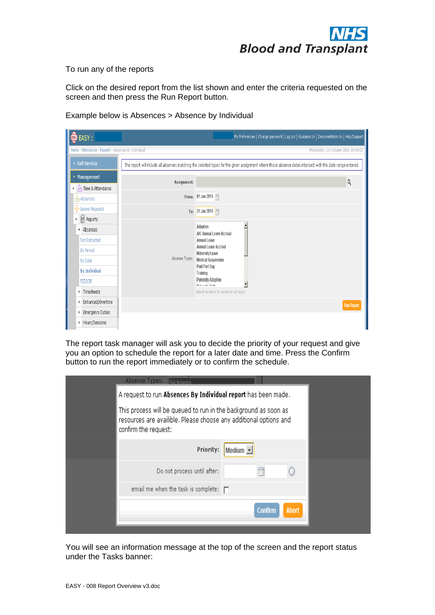

To run any of the reports

Click on the desired report from the list shown and enter the criteria requested on the screen and then press the Run Report button.

Example below is Absences > Absence by Individual



The report task manager will ask you to decide the priority of your request and give you an option to schedule the report for a later date and time. Press the Confirm button to run the report immediately or to confirm the schedule.

| Absence Types: <b>Gickness</b>                                                                                                                               |                         |  |
|--------------------------------------------------------------------------------------------------------------------------------------------------------------|-------------------------|--|
| A request to run Absences By Individual report has been made.                                                                                                |                         |  |
| This process will be queued to run in the background as soon as<br>resources are availible. Please choose any additional options and<br>confirm the request: |                         |  |
| Priority:                                                                                                                                                    | Medium -                |  |
| Do not process until after:                                                                                                                                  |                         |  |
| email me when the task is complete: $\Box$                                                                                                                   |                         |  |
|                                                                                                                                                              | Abort<br><b>Confirm</b> |  |

You will see an information message at the top of the screen and the report status under the Tasks banner: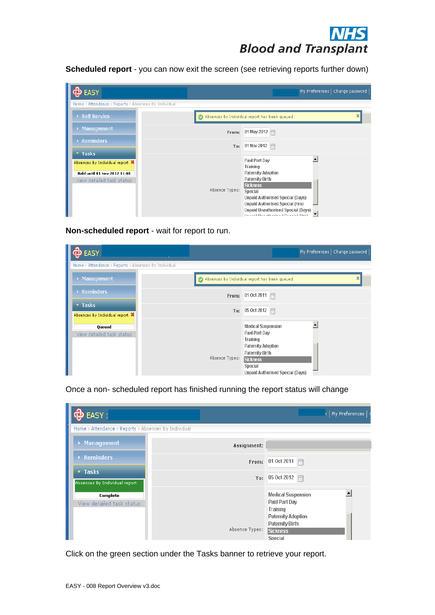| EASY:                                                                                        | My Preferences   Change password                                                                                                                                                                                                |
|----------------------------------------------------------------------------------------------|---------------------------------------------------------------------------------------------------------------------------------------------------------------------------------------------------------------------------------|
| Home > Attendance > Reports > Absences By Individual                                         |                                                                                                                                                                                                                                 |
| ▶ Self Service                                                                               | Absences By Individual report has been queued                                                                                                                                                                                   |
| ▶ Management                                                                                 | 01 May 2012 $\Box$<br>From:                                                                                                                                                                                                     |
| $\triangleright$ Reminders<br>$7$ Tasks                                                      | 01 Nov 2012 $\Box$<br>To:                                                                                                                                                                                                       |
| Absences By Individual report 算<br>Held until 01 Nov 2012 11:00<br>View detailed task status | Paid Part Day<br>Training<br><b>Paternity Adoption</b><br><b>Paternity Birth</b><br><b>Sickness</b>                                                                                                                             |
|                                                                                              | Absence Types:<br>Special<br><b>Unpaid Authorised Special (Days)</b><br><b>Unpaid Authorised Special (Hrs)</b><br>Unpaid Unauthorised Special (Days)<br>▼<br>The control of the proof the problem of the properties of the pro- |

| EASY:                                                |                |     |                                                                                                                                                                          | My Preferences   Change password |
|------------------------------------------------------|----------------|-----|--------------------------------------------------------------------------------------------------------------------------------------------------------------------------|----------------------------------|
| Home > Attendance > Reports > Absences By Individual |                |     |                                                                                                                                                                          |                                  |
| ▶ Management                                         |                |     | Absences By Individual report has been queued                                                                                                                            | ×                                |
| $\rightarrow$ Reminders                              | From:          |     | 01 Oct 2011                                                                                                                                                              |                                  |
| ▼ Tasks<br>Absences By Individual report 算           |                | To: | $ 05 \text{ Oct } 2012 $                                                                                                                                                 |                                  |
| Queued<br>View detailed task status                  | Absence Types: |     | <b>Medical Suspension</b><br>Paid Part Day<br>Training<br>Paternity Adoption<br>Paternity Birth<br>Sickness<br><b>Special</b><br><b>Unpaid Authorised Special (Days)</b> |                                  |

|                                                                                    | <b>DIOOU dilu Transpidiit</b>                                                                                    |
|------------------------------------------------------------------------------------|------------------------------------------------------------------------------------------------------------------|
|                                                                                    | Scheduled report - you can now exit the screen (see retrieving reports further down)                             |
| <b>DEASY</b>                                                                       | $\left\lceil$ My Preferences $\right\lceil$ Change password $\left\lceil$                                        |
| Home > Attendance > Reports > Absences By Individual<br>$\rightarrow$ Self Service |                                                                                                                  |
| > Management                                                                       | Absences By Individual report has been queued                                                                    |
| $\rightarrow$ Reminders                                                            | From: 01 May 2012<br>To: 01 Nov 2012                                                                             |
| $\blacktriangledown$ Tasks<br>Absences By Individual report 算                      | $\overline{\phantom{0}}$<br>Paid Part Day                                                                        |
| Held until 01 Nov 2012 11:00                                                       | Training<br>Paternity Adoption<br>Paternity Birth                                                                |
| View detailed task status                                                          | Sickness<br>Absence Types: Special                                                                               |
|                                                                                    | Unpaid Authorised Special (Days)<br><b>Unpaid Authorised Special (Hrs)</b><br>Unpaid Unauthorised Special (Days) |
|                                                                                    | Thursdall the code colorad Constant (Pays)                                                                       |
| Non-scheduled report - wait for report to run.                                     |                                                                                                                  |
| <b>DEASY</b>                                                                       | My Preferences   Change password                                                                                 |
| Home > Attendance > Reports > Absences By Individual<br>> Management               | Absences By Individual report has been queued                                                                    |
| Reminders                                                                          |                                                                                                                  |
| * Tasks                                                                            | From: 01 Oct 2011<br>To: 05 Oct 2012                                                                             |
| Absences By Individual report 算                                                    | <b>Medical Suspension</b><br>∸                                                                                   |
| Queued<br>View detailed task status                                                | Paid Part Day<br>Training                                                                                        |
|                                                                                    | Paternity Adoption<br>Paternity Birth<br>Absence Types: Sickness                                                 |
|                                                                                    | Special<br>Unpaid Authorised Special (Days)                                                                      |
|                                                                                    | Once a non- scheduled report has finished running the report status will change                                  |
|                                                                                    |                                                                                                                  |
| <b>DEASY</b> :                                                                     | My Preferences                                                                                                   |
| Home > Attendance > Reports > Absences By Individual                               |                                                                                                                  |
| > Management                                                                       | Assignment:                                                                                                      |
| $\rightarrow$ Reminders                                                            | From: 01 Oct 2011                                                                                                |
| * Tasks<br>Absences By Individual report                                           | To: $05$ Oct 2012                                                                                                |
| Complete                                                                           | ₫<br><b>Medical Suspension</b><br>Paid Part Day                                                                  |
| View detailed task status                                                          | Training<br><b>Paternity Adoption</b>                                                                            |
|                                                                                    | Paternity Birth<br>Absence Types: Sickness                                                                       |
|                                                                                    | Special                                                                                                          |
|                                                                                    | Click on the green section under the Tasks banner to retrieve your report.                                       |
|                                                                                    |                                                                                                                  |
| EASY - 008 Report Overview v3.doc                                                  |                                                                                                                  |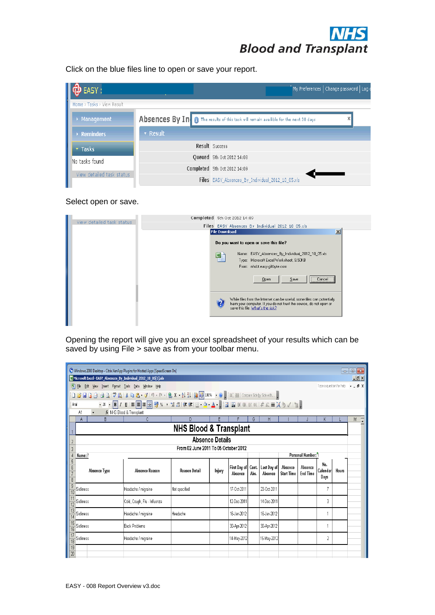

| 中 EASY :                   |          | My Preferences   Change password   Log o                                             |
|----------------------------|----------|--------------------------------------------------------------------------------------|
| Home > Tasks > View Result |          |                                                                                      |
| ▶ Management               |          | Absences By In 0 The results of this task will remain availible for the next 30 days |
| $\rightarrow$ Reminders    | • Result |                                                                                      |
| $\overline{ }$ Tasks       |          | Result Success                                                                       |
| No tasks found             |          | Queued 5th Oct 2012 14:08                                                            |
|                            |          | Completed 5th Oct 2012 14:09                                                         |
| View detailed task status  |          | Files EASY_Absences_By_Individual_2012_10_05.xls                                     |

## Select open or save.

|                           | Completed 5th Oct 2012 14:09                                                                                                                                                      |  |
|---------------------------|-----------------------------------------------------------------------------------------------------------------------------------------------------------------------------------|--|
| View detailed task status | Files EASY Absences By Individual 2012 10 05.xls                                                                                                                                  |  |
|                           | $\mathbf{x}$<br><b>File Download</b>                                                                                                                                              |  |
|                           | Do you want to open or save this file?                                                                                                                                            |  |
|                           | Name: EASY_Absences_By_Individual_2012_10_05.xls<br>eh<br>Type: Microsoft Excel Worksheet, 9.50KB                                                                                 |  |
|                           | From: nhsbt.easy.giltbyte.com                                                                                                                                                     |  |
|                           | Qpen<br>Save<br>Cancel                                                                                                                                                            |  |
|                           | While files from the Internet can be useful, some files can potentially<br>harm your computer. If you do not trust the source, do not open or<br>save this file. What's the risk? |  |
|                           |                                                                                                                                                                                   |  |

| Click on the blue files line to open or save your report.<br>Home > Tasks > View Result<br>> Management<br>$\rightarrow$ Reminders<br>v Tasks<br>View detailed task status<br>View detailed task status<br>A1 FRINKS Blood & Transplant<br>A<br>$\overline{B}$ and $\overline{B}$<br>Absence Type |                              |                                                                                      |                           |                                                                                                                                                                                   |                                                                                             |         |                                                                |                                                                                                |                                      |                   |
|---------------------------------------------------------------------------------------------------------------------------------------------------------------------------------------------------------------------------------------------------------------------------------------------------|------------------------------|--------------------------------------------------------------------------------------|---------------------------|-----------------------------------------------------------------------------------------------------------------------------------------------------------------------------------|---------------------------------------------------------------------------------------------|---------|----------------------------------------------------------------|------------------------------------------------------------------------------------------------|--------------------------------------|-------------------|
| $\mathbf{\Phi}$ EASY :<br>No tasks found<br>Microsoft Excel - EASY_Absences_By_Individual_2012_10_05[1].xls<br>$\frac{4}{5}$ Name: $\frac{8}{5}$<br>$\frac{6}{7}$<br>$\frac{9}{10}$ Sickness<br>$\frac{11}{12}$ Sickness                                                                          |                              |                                                                                      |                           |                                                                                                                                                                                   |                                                                                             |         |                                                                |                                                                                                |                                      |                   |
| 图 Ble Edit View Insert Format Iools Data Window Help                                                                                                                                                                                                                                              |                              |                                                                                      |                           |                                                                                                                                                                                   |                                                                                             |         | $^{\prime}$ My Preferences $\vert$ Change password $\vert$ Log |                                                                                                |                                      |                   |
|                                                                                                                                                                                                                                                                                                   |                              |                                                                                      |                           |                                                                                                                                                                                   |                                                                                             |         |                                                                |                                                                                                |                                      |                   |
|                                                                                                                                                                                                                                                                                                   |                              | Absences By In 0 The results of this task will remain availible for the next 30 days |                           |                                                                                                                                                                                   |                                                                                             |         |                                                                |                                                                                                |                                      |                   |
|                                                                                                                                                                                                                                                                                                   | · Result                     |                                                                                      |                           |                                                                                                                                                                                   |                                                                                             |         |                                                                |                                                                                                |                                      |                   |
| Mindows 2003 Desktop - Citrix XenApp Plugins for Hosted Apps [SpeedScreen On]                                                                                                                                                                                                                     |                              |                                                                                      | Result Success            |                                                                                                                                                                                   |                                                                                             |         |                                                                |                                                                                                |                                      |                   |
|                                                                                                                                                                                                                                                                                                   |                              |                                                                                      | Queued 5th Oct 2012 14:08 |                                                                                                                                                                                   |                                                                                             |         |                                                                |                                                                                                |                                      |                   |
| Select open or save.<br>Opening the report will give you an excel spreadsheet of your results which can be<br>saved by using File > save as from your toolbar menu.                                                                                                                               |                              | Completed 5th Oct 2012 14:09                                                         |                           |                                                                                                                                                                                   |                                                                                             |         |                                                                |                                                                                                |                                      |                   |
|                                                                                                                                                                                                                                                                                                   |                              |                                                                                      |                           | Files EASY_Absences_By_Individual_2012_10_05.xls                                                                                                                                  |                                                                                             |         |                                                                |                                                                                                |                                      |                   |
|                                                                                                                                                                                                                                                                                                   |                              |                                                                                      |                           |                                                                                                                                                                                   |                                                                                             |         |                                                                |                                                                                                |                                      |                   |
|                                                                                                                                                                                                                                                                                                   |                              |                                                                                      |                           |                                                                                                                                                                                   |                                                                                             |         |                                                                |                                                                                                |                                      |                   |
|                                                                                                                                                                                                                                                                                                   |                              |                                                                                      |                           | Completed 5th Oct 2012 14:09                                                                                                                                                      |                                                                                             |         |                                                                |                                                                                                |                                      |                   |
|                                                                                                                                                                                                                                                                                                   |                              |                                                                                      | <b>File Download</b>      | Files EASY Absences By Individual 2012 10 05.xls                                                                                                                                  |                                                                                             |         |                                                                |                                                                                                | $\overline{\mathbf{x}^{\mathbf{r}}}$ |                   |
|                                                                                                                                                                                                                                                                                                   |                              |                                                                                      |                           | Do you want to open or save this file?                                                                                                                                            |                                                                                             |         |                                                                |                                                                                                |                                      |                   |
|                                                                                                                                                                                                                                                                                                   |                              |                                                                                      | 国                         |                                                                                                                                                                                   | Name: EASY_Absences_By_Individual_2012_10_05.xls<br>Type: Microsoft Excel Worksheet, 9.50KB |         |                                                                |                                                                                                |                                      |                   |
|                                                                                                                                                                                                                                                                                                   |                              |                                                                                      |                           |                                                                                                                                                                                   | From: nhsbt.easy.giltbyte.com                                                               |         |                                                                |                                                                                                |                                      |                   |
|                                                                                                                                                                                                                                                                                                   |                              |                                                                                      |                           |                                                                                                                                                                                   | $Q$ pen                                                                                     | $S$ ave |                                                                |                                                                                                |                                      |                   |
|                                                                                                                                                                                                                                                                                                   |                              |                                                                                      |                           |                                                                                                                                                                                   |                                                                                             |         |                                                                |                                                                                                |                                      |                   |
|                                                                                                                                                                                                                                                                                                   |                              |                                                                                      | $\overline{2}$            | While files from the Internet can be useful, some files can potentially<br>harm your computer. If you do not trust the source, do not open or<br>save this file. What's the risk? |                                                                                             |         |                                                                |                                                                                                |                                      |                   |
|                                                                                                                                                                                                                                                                                                   |                              |                                                                                      |                           |                                                                                                                                                                                   |                                                                                             |         |                                                                |                                                                                                |                                      |                   |
|                                                                                                                                                                                                                                                                                                   |                              |                                                                                      |                           |                                                                                                                                                                                   |                                                                                             |         |                                                                |                                                                                                |                                      |                   |
|                                                                                                                                                                                                                                                                                                   |                              |                                                                                      |                           |                                                                                                                                                                                   |                                                                                             |         |                                                                |                                                                                                |                                      |                   |
|                                                                                                                                                                                                                                                                                                   |                              |                                                                                      |                           |                                                                                                                                                                                   |                                                                                             |         |                                                                |                                                                                                |                                      |                   |
|                                                                                                                                                                                                                                                                                                   |                              |                                                                                      |                           |                                                                                                                                                                                   |                                                                                             |         |                                                                |                                                                                                |                                      | $\Box$ e $\bm{x}$ |
|                                                                                                                                                                                                                                                                                                   |                              |                                                                                      |                           |                                                                                                                                                                                   |                                                                                             |         |                                                                | Type a question for help $\rightarrow$ $\rightarrow$ $\rightarrow$ $\rightarrow$ $\rightarrow$ |                                      | Jx                |
|                                                                                                                                                                                                                                                                                                   |                              |                                                                                      |                           |                                                                                                                                                                                   |                                                                                             |         |                                                                |                                                                                                |                                      |                   |
|                                                                                                                                                                                                                                                                                                   |                              |                                                                                      |                           |                                                                                                                                                                                   |                                                                                             |         |                                                                |                                                                                                |                                      |                   |
|                                                                                                                                                                                                                                                                                                   | -C -                         |                                                                                      |                           | EFFGHIJKLMT                                                                                                                                                                       |                                                                                             |         |                                                                |                                                                                                |                                      |                   |
|                                                                                                                                                                                                                                                                                                   |                              | <b>NHS Blood &amp; Transplant</b>                                                    | <b>Absence Details</b>    |                                                                                                                                                                                   |                                                                                             |         |                                                                |                                                                                                |                                      |                   |
|                                                                                                                                                                                                                                                                                                   |                              | From 02 June 2011 To 05 October 2012                                                 |                           |                                                                                                                                                                                   |                                                                                             |         |                                                                |                                                                                                |                                      |                   |
|                                                                                                                                                                                                                                                                                                   |                              |                                                                                      |                           |                                                                                                                                                                                   |                                                                                             |         | Personal Number: 1                                             |                                                                                                |                                      |                   |
|                                                                                                                                                                                                                                                                                                   | Absence Reason               | Reason Detail                                                                        | Injury                    | First Day of Cont. Last Day of Absence Absence<br>Absence Abs. Absence Start Time End Time                                                                                        |                                                                                             |         |                                                                | No.<br>Calendar Hours<br>Days                                                                  |                                      |                   |
|                                                                                                                                                                                                                                                                                                   | Headache / migraine          | Not specified                                                                        |                           | 17-Oct-2011                                                                                                                                                                       | 23-Oct-2011                                                                                 |         |                                                                |                                                                                                |                                      |                   |
|                                                                                                                                                                                                                                                                                                   | Cold, Cough, Flu - Influenza |                                                                                      |                           | 12-Dec-2011                                                                                                                                                                       | 14-Dec-2011                                                                                 |         |                                                                | $\overline{3}$                                                                                 |                                      |                   |
| $\frac{13}{14}$ Sickness                                                                                                                                                                                                                                                                          | Headache / migraine          | Headache                                                                             |                           | 16-Jan-2012                                                                                                                                                                       | 16-Jan-2012                                                                                 |         |                                                                |                                                                                                |                                      |                   |
| $\frac{15}{16}$ Sickness                                                                                                                                                                                                                                                                          | Back Problems                |                                                                                      |                           | 30-Apr-2012                                                                                                                                                                       | 30-Apr-2012                                                                                 |         |                                                                |                                                                                                |                                      |                   |
| $\frac{17}{19}$ Sickness                                                                                                                                                                                                                                                                          | Headache / migraine          |                                                                                      |                           | 14-May-2012                                                                                                                                                                       | 15-May-2012                                                                                 |         |                                                                | $\left  \begin{array}{c} 2 \end{array} \right $                                                |                                      |                   |
| $\frac{19}{20}$                                                                                                                                                                                                                                                                                   |                              |                                                                                      |                           |                                                                                                                                                                                   |                                                                                             |         |                                                                |                                                                                                |                                      |                   |
|                                                                                                                                                                                                                                                                                                   |                              |                                                                                      |                           |                                                                                                                                                                                   |                                                                                             |         |                                                                |                                                                                                |                                      |                   |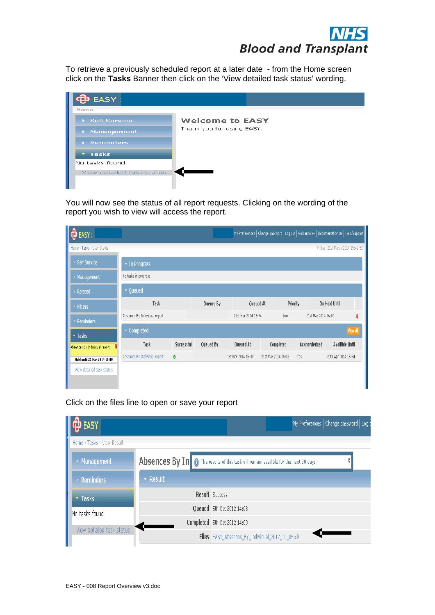

| EASY:                            |                           |  |  |  |  |  |  |  |  |
|----------------------------------|---------------------------|--|--|--|--|--|--|--|--|
| Home                             |                           |  |  |  |  |  |  |  |  |
| ▶ Self Service                   | <b>Welcome to EASY</b>    |  |  |  |  |  |  |  |  |
| $\blacktriangleright$ Management | Thank you for using EASY. |  |  |  |  |  |  |  |  |
| $\triangleright$ Reminders       |                           |  |  |  |  |  |  |  |  |
| $T$ Tasks                        |                           |  |  |  |  |  |  |  |  |
| No tasks found                   |                           |  |  |  |  |  |  |  |  |
| View detailed task status        |                           |  |  |  |  |  |  |  |  |

|                                                                                                                  |                                                                                                                                                                      | <b>DIOOU dilu Transpidiit</b>                                                              |
|------------------------------------------------------------------------------------------------------------------|----------------------------------------------------------------------------------------------------------------------------------------------------------------------|--------------------------------------------------------------------------------------------|
|                                                                                                                  | To retrieve a previously scheduled report at a later date - from the Home screen<br>click on the Tasks Banner then click on the 'View detailed task status' wording. |                                                                                            |
| <b>DEASY</b>                                                                                                     |                                                                                                                                                                      |                                                                                            |
| Home<br>▶ Self Service<br>$\rightarrow$ Management<br>$\rightarrow$ Reminders<br>$\star$ Tasks<br>No tasks found | <b>Welcome to EASY</b><br>Thank you for using EASY.<br>View detailed task status                                                                                     |                                                                                            |
|                                                                                                                  | You will now see the status of all report requests. Clicking on the wording of the<br>report you wish to view will access the report.                                |                                                                                            |
| $\boxed{\bigoplus \text{EASY}:}$                                                                                 |                                                                                                                                                                      | My Preferences   Change password   Log out   Guidance ⊞→   Documentation ⊞→   Help/Support |
| Home > Tasks > User Status                                                                                       |                                                                                                                                                                      | Friday, 21st March 2014 15:42:52                                                           |
| $\rightarrow$ Self Service                                                                                       | $\star$ In Progress                                                                                                                                                  |                                                                                            |
| $\rightarrow$ Management                                                                                         | No tasks in progress                                                                                                                                                 |                                                                                            |
| $\rightarrow$ Related                                                                                            | $\blacktriangleright$ Queued<br>Task<br>Queued By<br>Queued At                                                                                                       | On Hold Until<br>Priority                                                                  |
| ▶ Filters                                                                                                        | Absences By Individual report<br>21st Mar 2014 15:34                                                                                                                 | 21st Mar 2014 16:00<br>Low                                                                 |
| $\rightarrow$ Reminders                                                                                          | $\star$ Completed                                                                                                                                                    |                                                                                            |
| * Tasks<br>Absences By Individual report \$                                                                      | Task<br>Successful<br>Queued By<br>Queued At                                                                                                                         | Acknowledged<br>Availible Until<br>Completed                                               |
| Held until 21 Mar 2014 16:00                                                                                     | Absences By Individual report<br>!1st Mar 2014 15:33 21st Mar 2014 15:33 Yes                                                                                         | 20th Apr 2014 15:34                                                                        |
| View detailed task status                                                                                        |                                                                                                                                                                      |                                                                                            |
|                                                                                                                  |                                                                                                                                                                      |                                                                                            |
|                                                                                                                  | Click on the files line to open or save your report                                                                                                                  |                                                                                            |
| O EASY :                                                                                                         |                                                                                                                                                                      | My Preferences   Change password   Log                                                     |
| Home > Tasks > View Result                                                                                       |                                                                                                                                                                      |                                                                                            |
| $\rightarrow$ Management                                                                                         | Absences By In 0 The results of this task will remain availible for the next 30 days                                                                                 |                                                                                            |
| $\rightarrow$ Reminders                                                                                          | $\blacktriangleright$ Result                                                                                                                                         |                                                                                            |
| v Tasks                                                                                                          | Result Success                                                                                                                                                       |                                                                                            |
| No tasks found                                                                                                   | Queued 5th Oct 2012 14:08                                                                                                                                            |                                                                                            |
|                                                                                                                  | Completed 5th Oct 2012 14:09                                                                                                                                         |                                                                                            |
| View detailed task status                                                                                        |                                                                                                                                                                      | $\leftarrow$<br>Files EASY_Absences_By_Individual_2012_10_05.xls                           |

| $\ddot{\mathbf{\Phi}}$ EASY : |          | My Preferences   Change password   Log                                                      |
|-------------------------------|----------|---------------------------------------------------------------------------------------------|
| Home > Tasks > View Result    |          |                                                                                             |
| ▶ Management                  |          | Absences By In   0 The results of this task will remain availible for the next 30 days<br>X |
| ▶ Reminders                   | • Result |                                                                                             |
| <b>v</b> Tasks                |          | Result Success                                                                              |
| No tasks found                |          | Queued 5th Oct 2012 14:08                                                                   |
|                               |          | Completed 5th Oct 2012 14:09                                                                |
| View detailed task status     |          | Files EASY_Absences_By_Individual_2012_10_05.xls                                            |